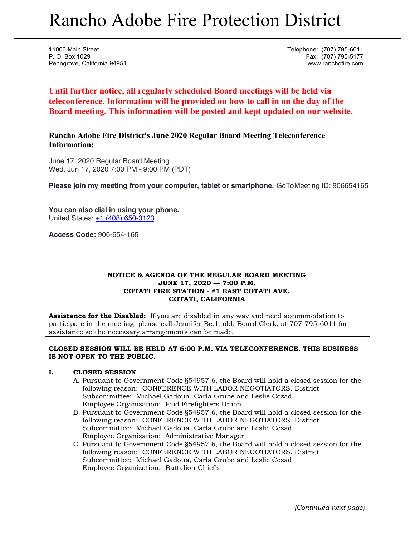# Rancho Adobe Fire Protection District

11000 Main Street **Telephone:** (707) 795-6011 P. O. Box 1029 Fax: (707) 795-5177 Penngrove, California 94951 www.ranchofire.com

**Until further notice, all regularly scheduled Board meetings will be held via teleconference. Information will be provided on how to call in on the day of the Board meeting. This information will be posted and kept updated on our website.**

**Rancho Adobe Fire District's June 2020 Regular Board Meeting Teleconference Information:** 

June 17, 2020 Regular Board Meeting Wed, Jun 17, 2020 7:00 PM - 9:00 PM (PDT)

**Please join my meeting from your computer, tablet or smartphone.** GoToMeeting ID: 906654165

**You can also dial in using your phone.** United States: +1 (408) 650-3123

**Access Code:** 906-654-165

# **NOTICE & AGENDA OF THE REGULAR BOARD MEETING JUNE 17, 2020 — 7:00 P.M. COTATI FIRE STATION - #1 EAST COTATI AVE. COTATI, CALIFORNIA**

**Assistance for the Disabled:** If you are disabled in any way and need accommodation to participate in the meeting, please call Jennifer Bechtold, Board Clerk, at 707-795-6011 for assistance so the necessary arrangements can be made.

# **CLOSED SESSION WILL BE HELD AT 6:00 P.M. VIA TELECONFERENCE. THIS BUSINESS IS NOT OPEN TO THE PUBLIC.**

# **I. CLOSED SESSION**

- A. Pursuant to Government Code §54957.6, the Board will hold a closed session for the following reason: CONFERENCE WITH LABOR NEGOTIATORS. District Subcommittee: Michael Gadoua, Carla Grube and Leslie Cozad Employee Organization: Paid Firefighters Union
- B. Pursuant to Government Code §54957.6, the Board will hold a closed session for the following reason: CONFERENCE WITH LABOR NEGOTIATORS. District Subcommittee: Michael Gadoua, Carla Grube and Leslie Cozad Employee Organization: Administrative Manager
- C. Pursuant to Government Code §54957.6, the Board will hold a closed session for the following reason: CONFERENCE WITH LABOR NEGOTIATORS. District Subcommittee: Michael Gadoua, Carla Grube and Leslie Cozad Employee Organization: Battalion Chief's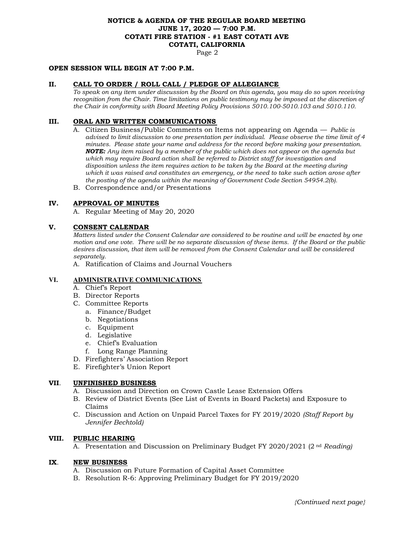# **NOTICE & AGENDA OF THE REGULAR BOARD MEETING JUNE 17, 2020 — 7:00 P.M. COTATI FIRE STATION - #1 EAST COTATI AVE COTATI, CALIFORNIA**

Page 2

#### **OPEN SESSION WILL BEGIN AT 7:00 P.M.**

#### **II. CALL TO ORDER / ROLL CALL / PLEDGE OF ALLEGIANCE**

*To speak on any item under discussion by the Board on this agenda, you may do so upon receiving recognition from the Chair. Time limitations on public testimony may be imposed at the discretion of the Chair in conformity with Board Meeting Policy Provisions 5010.100-5010.103 and 5010.110.* 

#### **III. ORAL AND WRITTEN COMMUNICATIONS**

- A. Citizen Business/Public Comments on Items not appearing on Agenda *Public is advised to limit discussion to one presentation per individual. Please observe the time limit of 4 minutes. Please state your name and address for the record before making your presentation. NOTE: Any item raised by a member of the public which does not appear on the agenda but which may require Board action shall be referred to District staff for investigation and disposition unless the item requires action to be taken by the Board at the meeting during which it was raised and constitutes an emergency, or the need to take such action arose after the posting of the agenda within the meaning of Government Code Section 54954.2(b).*
- B. Correspondence and/or Presentations

## **IV. APPROVAL OF MINUTES**

A. Regular Meeting of May 20, 2020

#### **V. CONSENT CALENDAR**

*Matters listed under the Consent Calendar are considered to be routine and will be enacted by one motion and one vote. There will be no separate discussion of these items. If the Board or the public desires discussion, that item will be removed from the Consent Calendar and will be considered separately.* 

A. Ratification of Claims and Journal Vouchers

#### **VI. ADMINISTRATIVE COMMUNICATIONS**

- A. Chief's Report
- B. Director Reports
- C. Committee Reports
	- a. Finance/Budget
	- b. Negotiations
	- c. Equipment
	- d. Legislative
	- e. Chief's Evaluation
	- f. Long Range Planning
- D. Firefighters' Association Report
- E. Firefighter's Union Report

#### **VII**. **UNFINISHED BUSINESS**

- A. Discussion and Direction on Crown Castle Lease Extension Offers
- B. Review of District Events (See List of Events in Board Packets) and Exposure to Claims
- C. Discussion and Action on Unpaid Parcel Taxes for FY 2019/2020 *(Staff Report by Jennifer Bechtold)*

#### **VIII. PUBLIC HEARING**

A. Presentation and Discussion on Preliminary Budget FY 2020/2021 (2 nd *Reading)*

#### **IX**. **NEW BUSINESS**

- A. Discussion on Future Formation of Capital Asset Committee
- B. Resolution R-6: Approving Preliminary Budget for FY 2019/2020